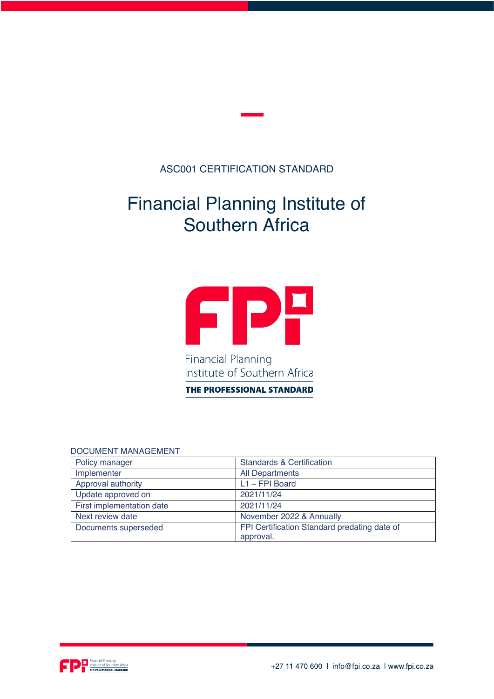### ASC001 CERTIFICATION STANDARD

# Financial Planning Institute of Southern Africa



Institute of Southern Africa

THE PROFESSIONAL STANDARD

#### DOCUMENT MANAGEMENT

| Policy manager            | <b>Standards &amp; Certification</b>                      |
|---------------------------|-----------------------------------------------------------|
| Implementer               | <b>All Departments</b>                                    |
| Approval authority        | $L1 - FPI Board$                                          |
| Update approved on        | 2021/11/24                                                |
| First implementation date | 2021/11/24                                                |
| Next review date          | November 2022 & Annually                                  |
| Documents superseded      | FPI Certification Standard predating date of<br>approval. |

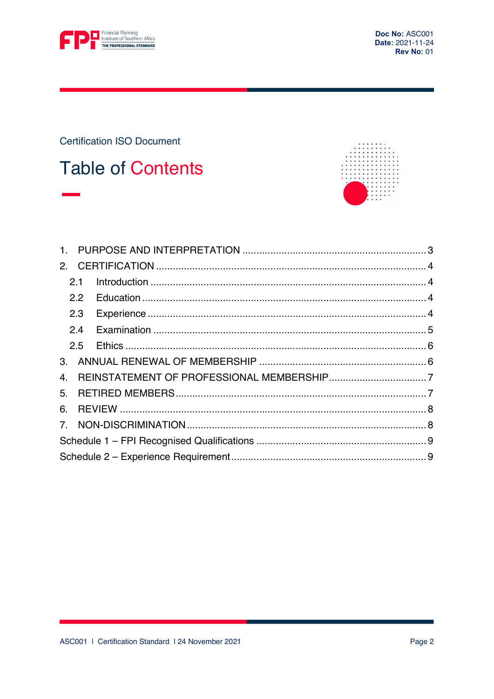

Doc No: ASC001 Date: 2021-11-24 **Rev No: 01** 

**Certification ISO Document** 

# **Table of Contents**



|    | 2.1 |  |
|----|-----|--|
|    | 2.2 |  |
|    | 2.3 |  |
|    | 2.4 |  |
|    |     |  |
|    |     |  |
| 4. |     |  |
|    |     |  |
| 6. |     |  |
|    |     |  |
|    |     |  |
|    |     |  |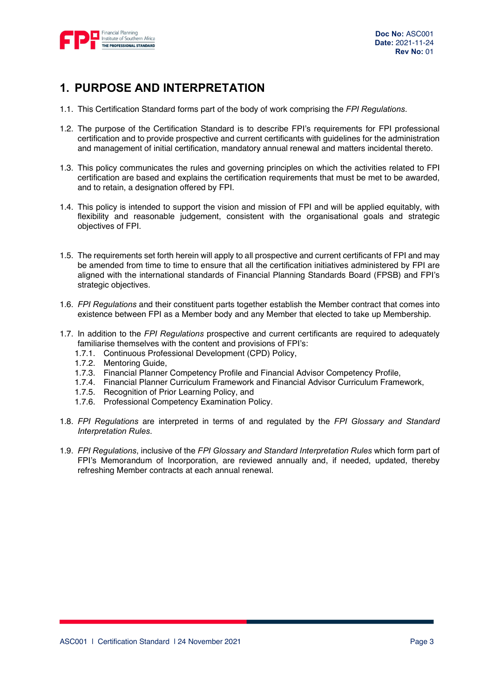

## 1. PURPOSE AND INTERPRETATION

- 1.1. This Certification Standard forms part of the body of work comprising the FPI Regulations.
- 1.2. The purpose of the Certification Standard is to describe FPI's requirements for FPI professional certification and to provide prospective and current certificants with guidelines for the administration and management of initial certification, mandatory annual renewal and matters incidental thereto.
- 1.3. This policy communicates the rules and governing principles on which the activities related to FPI certification are based and explains the certification requirements that must be met to be awarded, and to retain, a designation offered by FPI.
- 1.4. This policy is intended to support the vision and mission of FPI and will be applied equitably, with flexibility and reasonable judgement, consistent with the organisational goals and strategic objectives of FPI.
- 1.5. The requirements set forth herein will apply to all prospective and current certificants of FPI and may be amended from time to time to ensure that all the certification initiatives administered by FPI are aligned with the international standards of Financial Planning Standards Board (FPSB) and FPI's strategic objectives.
- 1.6. FPI Regulations and their constituent parts together establish the Member contract that comes into existence between FPI as a Member body and any Member that elected to take up Membership.
- 1.7. In addition to the FPI Regulations prospective and current certificants are required to adequately familiarise themselves with the content and provisions of FPI's:
	- 1.7.1. Continuous Professional Development (CPD) Policy,
	- 1.7.2. Mentoring Guide,
	- 1.7.3. Financial Planner Competency Profile and Financial Advisor Competency Profile,
	- 1.7.4. Financial Planner Curriculum Framework and Financial Advisor Curriculum Framework,
	- 1.7.5. Recognition of Prior Learning Policy, and
	- 1.7.6. Professional Competency Examination Policy.
- 1.8. FPI Regulations are interpreted in terms of and regulated by the FPI Glossary and Standard Interpretation Rules.
- 1.9. FPI Regulations, inclusive of the FPI Glossary and Standard Interpretation Rules which form part of FPI's Memorandum of Incorporation, are reviewed annually and, if needed, updated, thereby refreshing Member contracts at each annual renewal.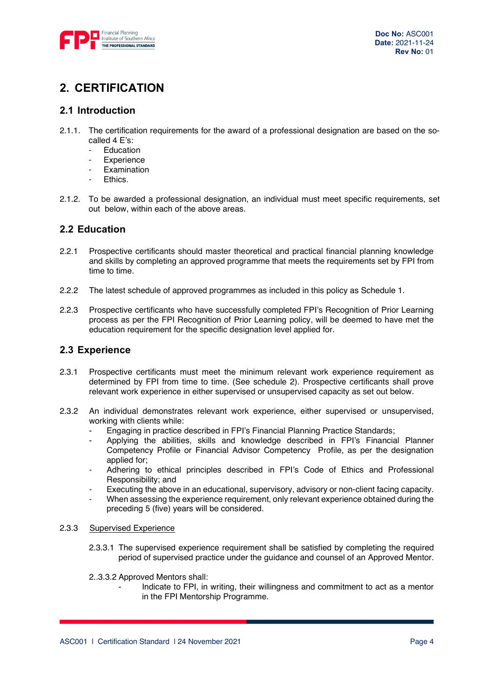

## 2. CERTIFICATION

### 2.1 Introduction

- 2.1.1. The certification requirements for the award of a professional designation are based on the socalled 4 E's:
	- **Education**
	- **Experience**
	- Examination
	- **Fthics**
- 2.1.2. To be awarded a professional designation, an individual must meet specific requirements, set out below, within each of the above areas.

### 2.2 Education

- 2.2.1 Prospective certificants should master theoretical and practical financial planning knowledge and skills by completing an approved programme that meets the requirements set by FPI from time to time.
- 2.2.2 The latest schedule of approved programmes as included in this policy as Schedule 1.
- 2.2.3 Prospective certificants who have successfully completed FPI's Recognition of Prior Learning process as per the FPI Recognition of Prior Learning policy, will be deemed to have met the education requirement for the specific designation level applied for.

### 2.3 Experience

- 2.3.1 Prospective certificants must meet the minimum relevant work experience requirement as determined by FPI from time to time. (See schedule 2). Prospective certificants shall prove relevant work experience in either supervised or unsupervised capacity as set out below.
- 2.3.2 An individual demonstrates relevant work experience, either supervised or unsupervised, working with clients while:
	- Engaging in practice described in FPI's Financial Planning Practice Standards;
	- Applying the abilities, skills and knowledge described in FPI's Financial Planner Competency Profile or Financial Advisor Competency Profile, as per the designation applied for;
	- Adhering to ethical principles described in FPI's Code of Ethics and Professional Responsibility; and
	- Executing the above in an educational, supervisory, advisory or non-client facing capacity.
	- When assessing the experience requirement, only relevant experience obtained during the preceding 5 (five) years will be considered.

#### 2.3.3 Supervised Experience

- 2.3.3.1 The supervised experience requirement shall be satisfied by completing the required period of supervised practice under the guidance and counsel of an Approved Mentor.
- 2..3.3.2 Approved Mentors shall:
	- Indicate to FPI, in writing, their willingness and commitment to act as a mentor in the FPI Mentorship Programme.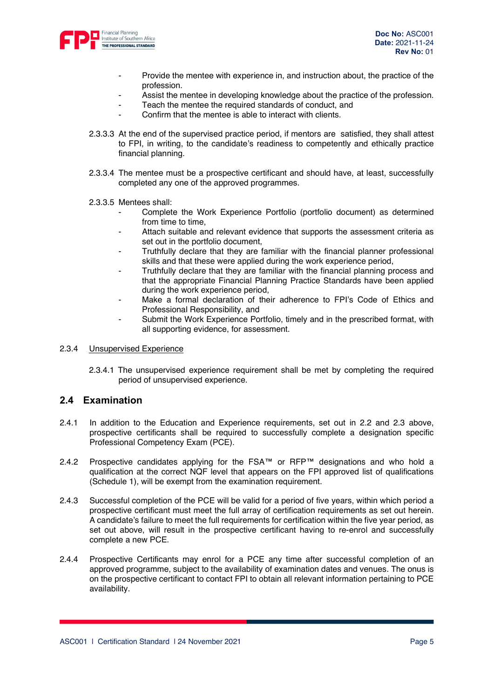

- Provide the mentee with experience in, and instruction about, the practice of the profession.
- Assist the mentee in developing knowledge about the practice of the profession.
- Teach the mentee the required standards of conduct, and
- Confirm that the mentee is able to interact with clients.
- 2.3.3.3 At the end of the supervised practice period, if mentors are satisfied, they shall attest to FPI, in writing, to the candidate's readiness to competently and ethically practice financial planning.
- 2.3.3.4 The mentee must be a prospective certificant and should have, at least, successfully completed any one of the approved programmes.
- 2.3.3.5 Mentees shall:
	- Complete the Work Experience Portfolio (portfolio document) as determined from time to time.
	- Attach suitable and relevant evidence that supports the assessment criteria as set out in the portfolio document,
	- Truthfully declare that they are familiar with the financial planner professional skills and that these were applied during the work experience period,
	- Truthfully declare that they are familiar with the financial planning process and that the appropriate Financial Planning Practice Standards have been applied during the work experience period,
	- Make a formal declaration of their adherence to FPI's Code of Ethics and Professional Responsibility, and
	- Submit the Work Experience Portfolio, timely and in the prescribed format, with all supporting evidence, for assessment.

#### 2.3.4 Unsupervised Experience

2.3.4.1 The unsupervised experience requirement shall be met by completing the required period of unsupervised experience.

#### 2.4 Examination

- 2.4.1 In addition to the Education and Experience requirements, set out in 2.2 and 2.3 above, prospective certificants shall be required to successfully complete a designation specific Professional Competency Exam (PCE).
- 2.4.2 Prospective candidates applying for the FSA™ or RFP™ designations and who hold a qualification at the correct NQF level that appears on the FPI approved list of qualifications (Schedule 1), will be exempt from the examination requirement.
- 2.4.3 Successful completion of the PCE will be valid for a period of five years, within which period a prospective certificant must meet the full array of certification requirements as set out herein. A candidate's failure to meet the full requirements for certification within the five year period, as set out above, will result in the prospective certificant having to re-enrol and successfully complete a new PCE.
- 2.4.4 Prospective Certificants may enrol for a PCE any time after successful completion of an approved programme, subject to the availability of examination dates and venues. The onus is on the prospective certificant to contact FPI to obtain all relevant information pertaining to PCE availability.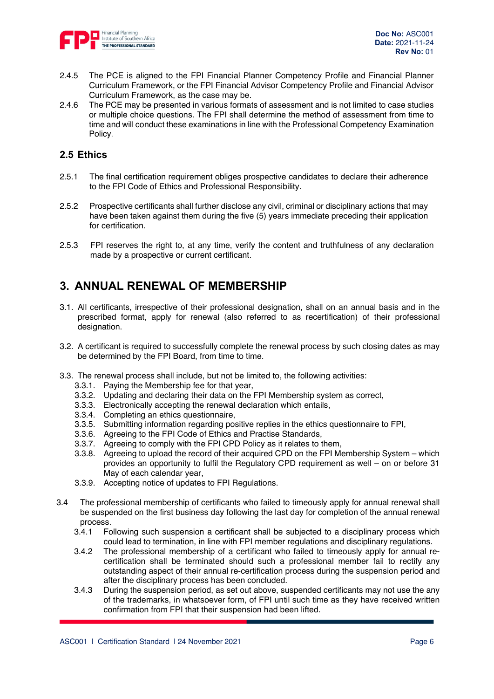

- 2.4.5 The PCE is aligned to the FPI Financial Planner Competency Profile and Financial Planner Curriculum Framework, or the FPI Financial Advisor Competency Profile and Financial Advisor Curriculum Framework, as the case may be.
- 2.4.6 The PCE may be presented in various formats of assessment and is not limited to case studies or multiple choice questions. The FPI shall determine the method of assessment from time to time and will conduct these examinations in line with the Professional Competency Examination Policy.

### 2.5 Ethics

- 2.5.1 The final certification requirement obliges prospective candidates to declare their adherence to the FPI Code of Ethics and Professional Responsibility.
- 2.5.2 Prospective certificants shall further disclose any civil, criminal or disciplinary actions that may have been taken against them during the five (5) years immediate preceding their application for certification.
- 2.5.3 FPI reserves the right to, at any time, verify the content and truthfulness of any declaration made by a prospective or current certificant.

### 3. ANNUAL RENEWAL OF MEMBERSHIP

- 3.1. All certificants, irrespective of their professional designation, shall on an annual basis and in the prescribed format, apply for renewal (also referred to as recertification) of their professional designation.
- 3.2. A certificant is required to successfully complete the renewal process by such closing dates as may be determined by the FPI Board, from time to time.
- 3.3. The renewal process shall include, but not be limited to, the following activities:
	- 3.3.1. Paying the Membership fee for that year,
	- 3.3.2. Updating and declaring their data on the FPI Membership system as correct,
	- 3.3.3. Electronically accepting the renewal declaration which entails,
	- 3.3.4. Completing an ethics questionnaire,
	- 3.3.5. Submitting information regarding positive replies in the ethics questionnaire to FPI,
	- 3.3.6. Agreeing to the FPI Code of Ethics and Practise Standards,
	- 3.3.7. Agreeing to comply with the FPI CPD Policy as it relates to them,
	- 3.3.8. Agreeing to upload the record of their acquired CPD on the FPI Membership System which provides an opportunity to fulfil the Regulatory CPD requirement as well – on or before 31 May of each calendar year,
	- 3.3.9. Accepting notice of updates to FPI Regulations.
- 3.4 The professional membership of certificants who failed to timeously apply for annual renewal shall be suspended on the first business day following the last day for completion of the annual renewal process.
	- 3.4.1 Following such suspension a certificant shall be subjected to a disciplinary process which could lead to termination, in line with FPI member regulations and disciplinary regulations.
	- 3.4.2 The professional membership of a certificant who failed to timeously apply for annual recertification shall be terminated should such a professional member fail to rectify any outstanding aspect of their annual re-certification process during the suspension period and after the disciplinary process has been concluded.
	- 3.4.3 During the suspension period, as set out above, suspended certificants may not use the any of the trademarks, in whatsoever form, of FPI until such time as they have received written confirmation from FPI that their suspension had been lifted.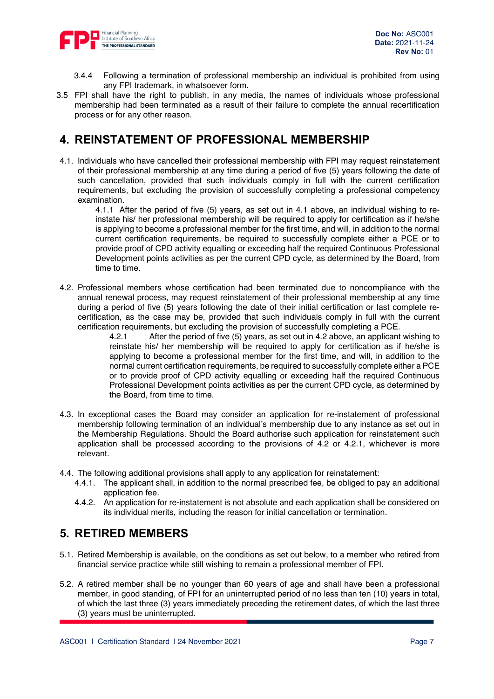

- 3.4.4 Following a termination of professional membership an individual is prohibited from using any FPI trademark, in whatsoever form.
- 3.5 FPI shall have the right to publish, in any media, the names of individuals whose professional membership had been terminated as a result of their failure to complete the annual recertification process or for any other reason.

## 4. REINSTATEMENT OF PROFESSIONAL MEMBERSHIP

4.1. Individuals who have cancelled their professional membership with FPI may request reinstatement of their professional membership at any time during a period of five (5) years following the date of such cancellation, provided that such individuals comply in full with the current certification requirements, but excluding the provision of successfully completing a professional competency examination.

4.1.1 After the period of five (5) years, as set out in 4.1 above, an individual wishing to reinstate his/ her professional membership will be required to apply for certification as if he/she is applying to become a professional member for the first time, and will, in addition to the normal current certification requirements, be required to successfully complete either a PCE or to provide proof of CPD activity equalling or exceeding half the required Continuous Professional Development points activities as per the current CPD cycle, as determined by the Board, from time to time.

4.2. Professional members whose certification had been terminated due to noncompliance with the annual renewal process, may request reinstatement of their professional membership at any time during a period of five (5) years following the date of their initial certification or last complete recertification, as the case may be, provided that such individuals comply in full with the current certification requirements, but excluding the provision of successfully completing a PCE.<br>4.2.1 After the period of five (5) years, as set out in 4.2 above, an applicant

After the period of five (5) years, as set out in 4.2 above, an applicant wishing to reinstate his/ her membership will be required to apply for certification as if he/she is applying to become a professional member for the first time, and will, in addition to the normal current certification requirements, be required to successfully complete either a PCE or to provide proof of CPD activity equalling or exceeding half the required Continuous Professional Development points activities as per the current CPD cycle, as determined by the Board, from time to time.

- 4.3. In exceptional cases the Board may consider an application for re-instatement of professional membership following termination of an individual's membership due to any instance as set out in the Membership Regulations. Should the Board authorise such application for reinstatement such application shall be processed according to the provisions of 4.2 or 4.2.1, whichever is more relevant.
- 4.4. The following additional provisions shall apply to any application for reinstatement:
	- 4.4.1. The applicant shall, in addition to the normal prescribed fee, be obliged to pay an additional application fee.
	- 4.4.2. An application for re-instatement is not absolute and each application shall be considered on its individual merits, including the reason for initial cancellation or termination.

### 5. RETIRED MEMBERS

- 5.1. Retired Membership is available, on the conditions as set out below, to a member who retired from financial service practice while still wishing to remain a professional member of FPI.
- 5.2. A retired member shall be no younger than 60 years of age and shall have been a professional member, in good standing, of FPI for an uninterrupted period of no less than ten (10) years in total, of which the last three (3) years immediately preceding the retirement dates, of which the last three (3) years must be uninterrupted.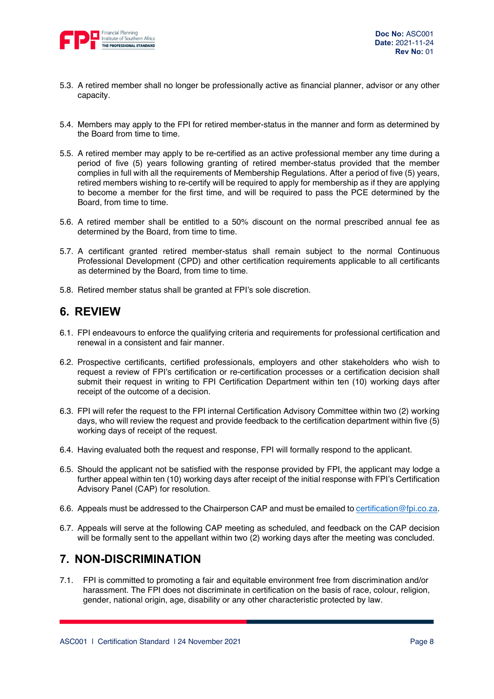

- 5.3. A retired member shall no longer be professionally active as financial planner, advisor or any other capacity.
- 5.4. Members may apply to the FPI for retired member-status in the manner and form as determined by the Board from time to time.
- 5.5. A retired member may apply to be re-certified as an active professional member any time during a period of five (5) years following granting of retired member-status provided that the member complies in full with all the requirements of Membership Regulations. After a period of five (5) years, retired members wishing to re-certify will be required to apply for membership as if they are applying to become a member for the first time, and will be required to pass the PCE determined by the Board, from time to time.
- 5.6. A retired member shall be entitled to a 50% discount on the normal prescribed annual fee as determined by the Board, from time to time.
- 5.7. A certificant granted retired member-status shall remain subject to the normal Continuous Professional Development (CPD) and other certification requirements applicable to all certificants as determined by the Board, from time to time.
- 5.8. Retired member status shall be granted at FPI's sole discretion.

### 6. REVIEW

- 6.1. FPI endeavours to enforce the qualifying criteria and requirements for professional certification and renewal in a consistent and fair manner.
- 6.2. Prospective certificants, certified professionals, employers and other stakeholders who wish to request a review of FPI's certification or re-certification processes or a certification decision shall submit their request in writing to FPI Certification Department within ten (10) working days after receipt of the outcome of a decision.
- 6.3. FPI will refer the request to the FPI internal Certification Advisory Committee within two (2) working days, who will review the request and provide feedback to the certification department within five (5) working days of receipt of the request.
- 6.4. Having evaluated both the request and response, FPI will formally respond to the applicant.
- 6.5. Should the applicant not be satisfied with the response provided by FPI, the applicant may lodge a further appeal within ten (10) working days after receipt of the initial response with FPI's Certification Advisory Panel (CAP) for resolution.
- 6.6. Appeals must be addressed to the Chairperson CAP and must be emailed to certification@fpi.co.za.
- 6.7. Appeals will serve at the following CAP meeting as scheduled, and feedback on the CAP decision will be formally sent to the appellant within two (2) working days after the meeting was concluded.

### 7. NON-DISCRIMINATION

7.1. FPI is committed to promoting a fair and equitable environment free from discrimination and/or harassment. The FPI does not discriminate in certification on the basis of race, colour, religion, gender, national origin, age, disability or any other characteristic protected by law.